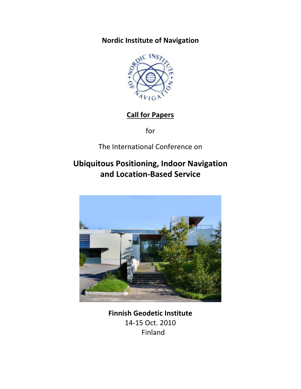Nordic Institute of Navigation



# Call for Papers

for

The International Conference on

# Ubiquitous Positioning, Indoor Navigation and Location-Based Service



Finnish Geodetic Institute 14-15 Oct. 2010 Finland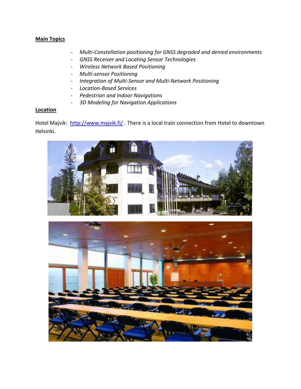# **Main Topics**

- Multi-Constellation positioning for GNSS degraded and denied environments
- GNSS Receiver and Locating Sensor Technologies
- Wireless Network Based Positioning
- Multi-sensor Positioning
- Integration of Multi-Sensor and Multi-Network Positioning
- Location-Based Services
- Pedestrian and Indoor Navigations
- 3D Modeling for Navigation Applications

#### **Location**

Hotel Majvik: http://www.majvik.fi/. There is a local train connection from Hotel to downtown Helsinki.



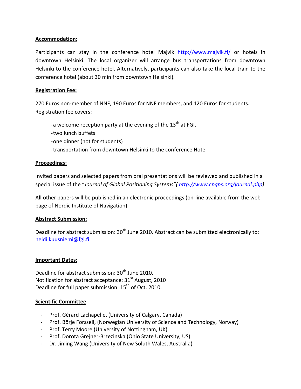# Accommodation:

Participants can stay in the conference hotel Majvik http://www.majvik.fi/ or hotels in downtown Helsinki. The local organizer will arrange bus transportations from downtown Helsinki to the conference hotel. Alternatively, participants can also take the local train to the conference hotel (about 30 min from downtown Helsinki).

## Registration Fee:

270 Euros non-member of NNF, 190 Euros for NNF members, and 120 Euros for students. Registration fee covers:

- -a welcome reception party at the evening of the  $13<sup>th</sup>$  at FGI.
- -two lunch buffets
- -one dinner (not for students)
- -transportation from downtown Helsinki to the conference Hotel

## Proceedings:

Invited papers and selected papers from oral presentations will be reviewed and published in a special issue of the "Journal of Global Positioning Systems" (http://www.cpqps.org/journal.php)

All other papers will be published in an electronic proceedings (on-line available from the web page of Nordic Institute of Navigation).

#### Abstract Submission:

Deadline for abstract submission:  $30<sup>th</sup>$  June 2010. Abstract can be submitted electronically to: heidi.kuusniemi@fgi.fi

#### Important Dates:

Deadline for abstract submission:  $30<sup>th</sup>$  June 2010. Notification for abstract acceptance:  $31<sup>st</sup>$  August, 2010 Deadline for full paper submission: 15<sup>th</sup> of Oct. 2010.

#### Scientific Committee

- Prof. Gérard Lachapelle, (University of Calgary, Canada)
- Prof. Börje Forssell, (Norwegian University of Science and Technology, Norway)
- Prof. Terry Moore (University of Nottingham, UK)
- Prof. Dorota Grejner-Brzezinska (Ohio State University, US)
- Dr. Jinling Wang (University of New Soluth Wales, Australia)